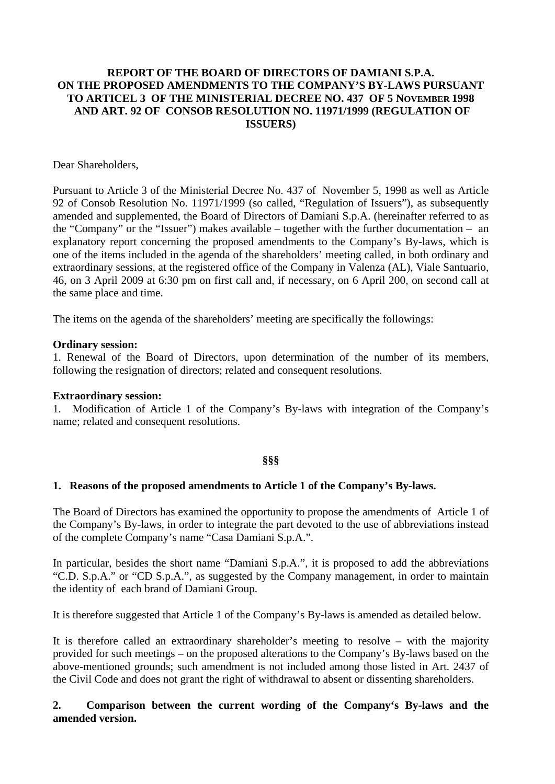# **REPORT OF THE BOARD OF DIRECTORS OF DAMIANI S.P.A. ON THE PROPOSED AMENDMENTS TO THE COMPANY'S BY-LAWS PURSUANT TO ARTICEL 3 OF THE MINISTERIAL DECREE NO. 437 OF 5 NOVEMBER 1998 AND ART. 92 OF CONSOB RESOLUTION NO. 11971/1999 (REGULATION OF ISSUERS)**

### Dear Shareholders,

Pursuant to Article 3 of the Ministerial Decree No. 437 of November 5, 1998 as well as Article 92 of Consob Resolution No. 11971/1999 (so called, "Regulation of Issuers"), as subsequently amended and supplemented, the Board of Directors of Damiani S.p.A. (hereinafter referred to as the "Company" or the "Issuer") makes available – together with the further documentation – an explanatory report concerning the proposed amendments to the Company's By-laws, which is one of the items included in the agenda of the shareholders' meeting called, in both ordinary and extraordinary sessions, at the registered office of the Company in Valenza (AL), Viale Santuario, 46, on 3 April 2009 at 6:30 pm on first call and, if necessary, on 6 April 200, on second call at the same place and time.

The items on the agenda of the shareholders' meeting are specifically the followings:

### **Ordinary session:**

1. Renewal of the Board of Directors, upon determination of the number of its members, following the resignation of directors; related and consequent resolutions.

#### **Extraordinary session:**

1. Modification of Article 1 of the Company's By-laws with integration of the Company's name; related and consequent resolutions.

# **§§§**

# **1. Reasons of the proposed amendments to Article 1 of the Company's By-laws.**

The Board of Directors has examined the opportunity to propose the amendments of Article 1 of the Company's By-laws, in order to integrate the part devoted to the use of abbreviations instead of the complete Company's name "Casa Damiani S.p.A.".

In particular, besides the short name "Damiani S.p.A.", it is proposed to add the abbreviations "C.D. S.p.A." or "CD S.p.A.", as suggested by the Company management, in order to maintain the identity of each brand of Damiani Group.

It is therefore suggested that Article 1 of the Company's By-laws is amended as detailed below.

It is therefore called an extraordinary shareholder's meeting to resolve – with the majority provided for such meetings – on the proposed alterations to the Company's By-laws based on the above-mentioned grounds; such amendment is not included among those listed in Art. 2437 of the Civil Code and does not grant the right of withdrawal to absent or dissenting shareholders.

# **2. Comparison between the current wording of the Company's By-laws and the amended version.**